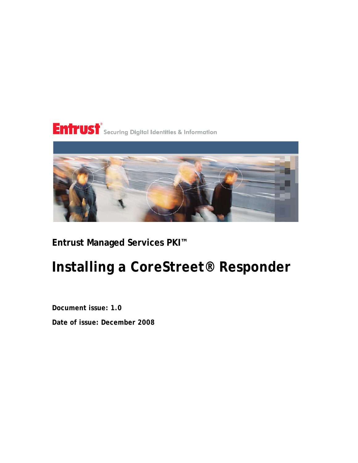## Entrust®<br>Entrust® Securing Digital Identities & Information



## **Entrust Managed Services PKI™**

## **Installing a CoreStreet® Responder**

**Document issue: 1.0**

**Date of issue: December 2008**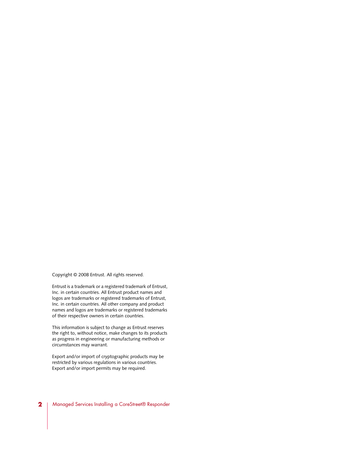Copyright © 2008 Entrust. All rights reserved.

Entrust is a trademark or a registered trademark of Entrust, Inc. in certain countries. All Entrust product names and logos are trademarks or registered trademarks of Entrust, Inc. in certain countries. All other company and product names and logos are trademarks or registered trademarks of their respective owners in certain countries.

This information is subject to change as Entrust reserves the right to, without notice, make changes to its products as progress in engineering or manufacturing methods or circumstances may warrant.

Export and/or import of cryptographic products may be restricted by various regulations in various countries. Export and/or import permits may be required.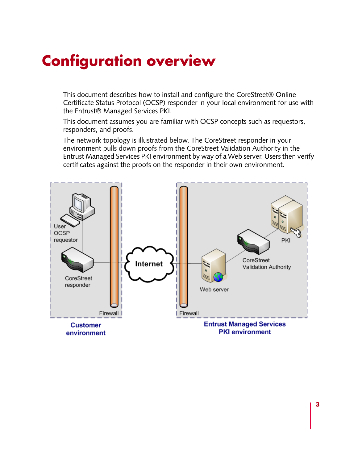## **Configuration overview**

This document describes how to install and configure the CoreStreet® Online Certificate Status Protocol (OCSP) responder in your local environment for use with the Entrust® Managed Services PKI.

This document assumes you are familiar with OCSP concepts such as requestors, responders, and proofs.

The network topology is illustrated below. The CoreStreet responder in your environment pulls down proofs from the CoreStreet Validation Authority in the Entrust Managed Services PKI environment by way of a Web server. Users then verify certificates against the proofs on the responder in their own environment.

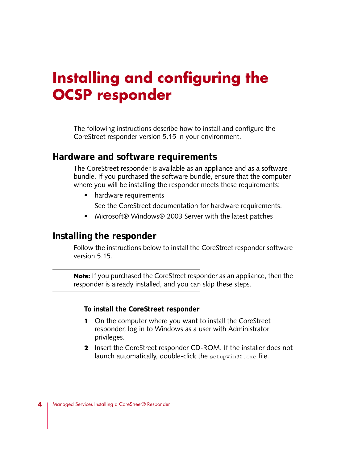## **Installing and configuring the OCSP responder**

The following instructions describe how to install and configure the CoreStreet responder version 5.15 in your environment.

### **Hardware and software requirements**

The CoreStreet responder is available as an appliance and as a software bundle. If you purchased the software bundle, ensure that the computer where you will be installing the responder meets these requirements:

• hardware requirements

See the CoreStreet documentation for hardware requirements.

• Microsoft<sup>®</sup> Windows<sup>®</sup> 2003 Server with the latest patches

### **Installing the responder**

Follow the instructions below to install the CoreStreet responder software version 5.15.

**Note:** If you purchased the CoreStreet responder as an appliance, then the responder is already installed, and you can skip these steps.

**To install the CoreStreet responder**

- **1** On the computer where you want to install the CoreStreet responder, log in to Windows as a user with Administrator privileges.
- **2** Insert the CoreStreet responder CD-ROM. If the installer does not launch automatically, double-click the setupWin32.exe file.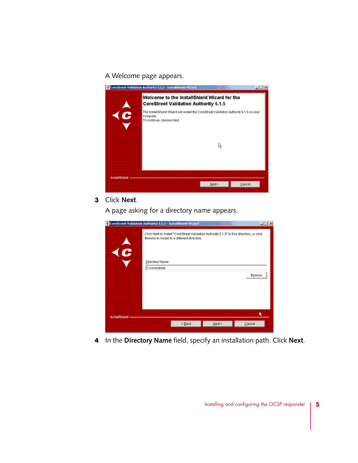#### A Welcome page appears.



#### **3** Click **Next**.

A page asking for a directory name appears.

|                      | CoreStreet Validation Authority 5.1.5 - InstallShield Wizard                                                                             |        | ■ 回×   |
|----------------------|------------------------------------------------------------------------------------------------------------------------------------------|--------|--------|
| $\hat{c}$            | Click Next to install "CoreStreet Validation Authority 5.1.5" to this directory, or click<br>Browse to install to a different directory. |        |        |
|                      | Directory Name:<br>C:tcorestreet                                                                                                         |        | Browse |
|                      |                                                                                                                                          |        |        |
| <b>InstallShield</b> |                                                                                                                                          |        |        |
|                      | < Back                                                                                                                                   | Next > | Cancel |

**4** In the **Directory Name** field, specify an installation path. Click **Next**.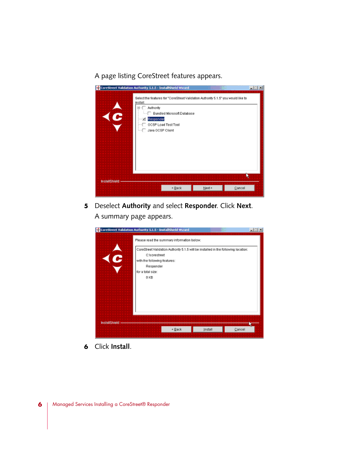A page listing CoreStreet features appears.

| $\hat{c}$     | CoreStreet Validation Authority S.1.5 - InstallShield Wizard<br>Select the features for "CoreStreet Validation Authority 5.1.5" you would like to<br>install:<br><b>B-C Authority</b><br>Bundled Microsoft Database<br>Responder<br>OCSP Load Test Tool<br>-C. Java OCSP Client | <b>LIDIX</b> |
|---------------|---------------------------------------------------------------------------------------------------------------------------------------------------------------------------------------------------------------------------------------------------------------------------------|--------------|
| InstallShield | $Next =$<br>$\leq$ Back<br>Cancel                                                                                                                                                                                                                                               |              |

**5** Deselect **Authority** and select **Responder**. Click **Next**. A summary page appears.



**6** Click **Install**.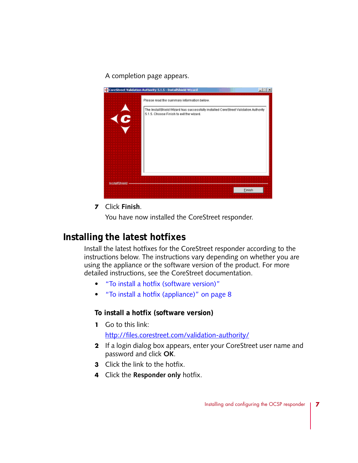A completion page appears.



**7** Click **Finish**.

You have now installed the CoreStreet responder.

### **Installing the latest hotfixes**

Install the latest hotfixes for the CoreStreet responder according to the instructions below. The instructions vary depending on whether you are using the appliance or the software version of the product. For more detailed instructions, see the CoreStreet documentation.

- ["To install a hotfix \(software version\)"](#page-6-0)
- ["To install a hotfix \(appliance\)" on page 8](#page-7-0)

#### <span id="page-6-0"></span>**To install a hotfix (software version)**

**1** Go to this link:

<http://files.corestreet.com/validation-authority/>

- **2** If a login dialog box appears, enter your CoreStreet user name and password and click **OK**.
- **3** Click the link to the hotfix.
- **4** Click the **Responder only** hotfix.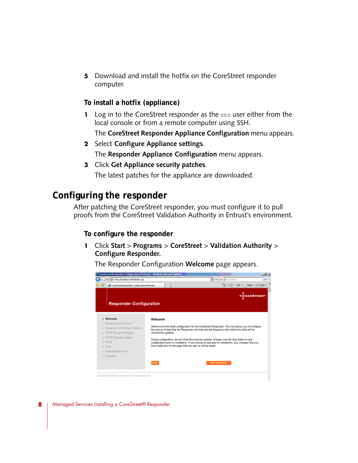**5** Download and install the hotfix on the CoreStreet responder computer.

#### <span id="page-7-0"></span>**To install a hotfix (appliance)**

**1** Log in to the CoreStreet responder as the rtc user either from the local console or from a remote computer using SSH.

The **CoreStreet Responder Appliance Configuration** menu appears.

- **2** Select **Configure Appliance settings**. The **Responder Appliance Configuration** menu appears.
- **3** Click **Get Appliance security patches**.

The latest patches for the appliance are downloaded.

## **Configuring the responder**

After patching the CoreStreet responder, you must configure it to pull proofs from the CoreStreet Validation Authority in Entrust's environment.

#### **To configure the responder**

**1** Click **Start** > **Programs** > **CoreStreet** > **Validation Authority** > **Configure Responder.**

The Responder Configuration **Welcome** page appears.

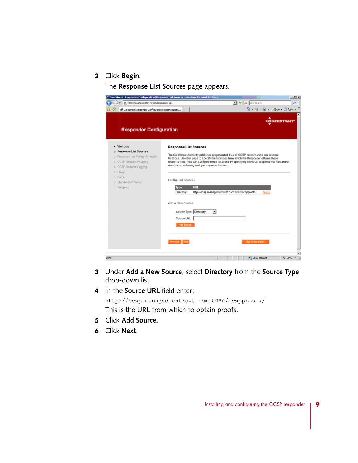#### **2** Click **Begin**.

The **Response List Sources** page appears.

| C CoreStreet   Responder Configuration   Response List Sources - Windows Internet Explorer |                                                      |                                                                                                                                                                                                   | $-10 \times$                                     |
|--------------------------------------------------------------------------------------------|------------------------------------------------------|---------------------------------------------------------------------------------------------------------------------------------------------------------------------------------------------------|--------------------------------------------------|
| C http://boahoet.3504/proofLieSources.top                                                  |                                                      | M My X Dre Search                                                                                                                                                                                 | ρ×                                               |
| CoreStreet Responder Configuration Response List 5                                         |                                                      |                                                                                                                                                                                                   | <b>Q</b> → 図 → <del>同</del> → 2 Bage → ③ Tools → |
|                                                                                            |                                                      |                                                                                                                                                                                                   | <b>CORESTREET</b>                                |
| <b>Responder Configuration</b>                                                             |                                                      |                                                                                                                                                                                                   |                                                  |
|                                                                                            |                                                      |                                                                                                                                                                                                   |                                                  |
| · Welcome                                                                                  |                                                      |                                                                                                                                                                                                   |                                                  |
| o Response List Sources                                                                    | <b>Response List Sources</b>                         |                                                                                                                                                                                                   |                                                  |
| o Response List Poling Schedule                                                            |                                                      | The CoreStreet Authority publishes pregenerated lists of OCSP responses to one or more                                                                                                            |                                                  |
| o OCSP Request Relaying                                                                    |                                                      | locations. Use this page to specify the locations from which the Responder obtains these<br>response lists. You can configure these locations by specifying individual response list files and/or |                                                  |
| o OCSP Request Logging                                                                     | directories containing multiple response list files. |                                                                                                                                                                                                   |                                                  |
| a Proxy                                                                                    |                                                      |                                                                                                                                                                                                   |                                                  |
| $o$ Ports                                                                                  |                                                      |                                                                                                                                                                                                   |                                                  |
| o Start/Restart Server                                                                     | <b>Configured Sources</b>                            |                                                                                                                                                                                                   |                                                  |
| a Complete                                                                                 | Type<br>URL.                                         |                                                                                                                                                                                                   |                                                  |
|                                                                                            | Directory                                            | http://ocsp.managed.entrust.com/8080/ocspproofs/                                                                                                                                                  | delete                                           |
|                                                                                            |                                                      |                                                                                                                                                                                                   |                                                  |
|                                                                                            | Add a New Source                                     |                                                                                                                                                                                                   |                                                  |
|                                                                                            |                                                      |                                                                                                                                                                                                   |                                                  |
|                                                                                            | Source Type Directory                                | $\overline{z}$                                                                                                                                                                                    |                                                  |
|                                                                                            | Source URL                                           |                                                                                                                                                                                                   |                                                  |
|                                                                                            | Add Bource                                           |                                                                                                                                                                                                   |                                                  |
|                                                                                            |                                                      |                                                                                                                                                                                                   |                                                  |
|                                                                                            |                                                      |                                                                                                                                                                                                   |                                                  |
|                                                                                            | Previous   Next                                      | <b>Quit Configuration</b>                                                                                                                                                                         |                                                  |
|                                                                                            |                                                      |                                                                                                                                                                                                   |                                                  |
|                                                                                            |                                                      |                                                                                                                                                                                                   |                                                  |
|                                                                                            |                                                      | Local intranet                                                                                                                                                                                    | 91,100%                                          |

- **3** Under **Add a New Source**, select **Directory** from the **Source Type** drop-down list.
- **4** In the **Source URL** field enter:

http://ocsp.managed.entrust.com:8080/ocspproofs/ This is the URL from which to obtain proofs.

- **5** Click **Add Source.**
- **6** Click **Next**.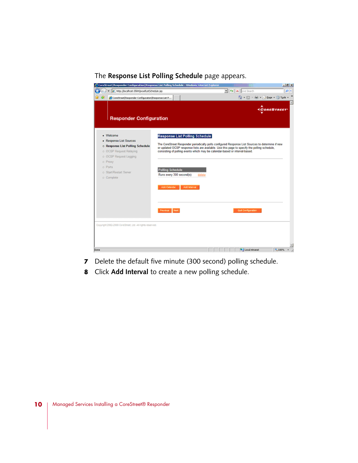#### The **Response List Polling Schedule** page appears.

| C Core Street   Responder Configuration   Response List Polling Schedule - Windows Internet Explorer                                                                                        |                                                                     |                                                                                                                                         |                                                                                                                                                                                                  | $-101 - x$                       |
|---------------------------------------------------------------------------------------------------------------------------------------------------------------------------------------------|---------------------------------------------------------------------|-----------------------------------------------------------------------------------------------------------------------------------------|--------------------------------------------------------------------------------------------------------------------------------------------------------------------------------------------------|----------------------------------|
| District Manufacturers (SO4)proofListSchedule.jsp<br>٠                                                                                                                                      |                                                                     |                                                                                                                                         | E + X DeSearch                                                                                                                                                                                   | - م                              |
| CoreStreet   Responder Configuration   Response Ltd P                                                                                                                                       |                                                                     |                                                                                                                                         | $\bigoplus_{i=1}^n \cdots \bigoplus_{i=n}^n \cdots \bigoplus_{i=n}^n \mathsf{Eone} = \bigoplus_{i=n}^n \mathsf{Tgeh}$                                                                            |                                  |
| <b>Responder Configuration</b>                                                                                                                                                              |                                                                     |                                                                                                                                         |                                                                                                                                                                                                  | <b><i><u>ACORESTREET</u></i></b> |
| - Welcome<br>· Response List Sources<br>o Response List Polling Schedule<br>o OCSP Request Relaying<br>o OCSP Request Logging<br>o Proxy<br>o Ports<br>o Start/Restart Server<br>o Complete | <b>Polling Schedule</b><br>Runs every 300 second(s)<br>Add Calendar | Response List Polling Schedule<br>consisting of polling events which may be calendar-based or interval-based.<br>delete<br>Add Interval | The CoreStreet Responder periodically polls configured Response List Sources to determine if new<br>or updated OCSP response lists are available. Use this page to specify the polling schedule, |                                  |
|                                                                                                                                                                                             | Previous Next                                                       |                                                                                                                                         | <b>Quit Configuration</b>                                                                                                                                                                        |                                  |
| Capyright 2002-2008 CoreStreet, Ltd. All rights reserved.                                                                                                                                   |                                                                     |                                                                                                                                         |                                                                                                                                                                                                  |                                  |
| Dane                                                                                                                                                                                        |                                                                     |                                                                                                                                         | V. J Local Intranet                                                                                                                                                                              | H. 100%                          |

- **7** Delete the default five minute (300 second) polling schedule.
- **8** Click **Add Interval** to create a new polling schedule.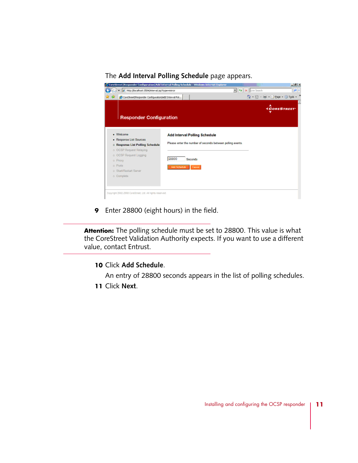#### The **Add Interval Polling Schedule** page appears.

|                                                     | C CoreStreet   Responder Configuration   Add Interval Poling Schedule - Windows Internet Explorer | $H^2$                           |
|-----------------------------------------------------|---------------------------------------------------------------------------------------------------|---------------------------------|
| P http://localhost.0504/interval.jsp?type=swinor    |                                                                                                   | M 4 X Uve Search<br>$\rho$ .    |
| CoreStreet Responder Configuration Add Interval Pol |                                                                                                   | ☆ - 回 - 細 - P Bop - 回 Tgos - ™  |
|                                                     |                                                                                                   | <b><i><u>CORESTREET</u></i></b> |
| <b>Responder Configuration</b>                      |                                                                                                   |                                 |
| · Welcome                                           | <b>Add Interval Polling Schedule</b>                                                              |                                 |
| · Response List Sources                             |                                                                                                   |                                 |
| o Response List Polling Schedule                    | Please enter the number of seconds between poling events.                                         |                                 |
| o OCSP Request Relaying                             |                                                                                                   |                                 |
| o OCSP Request Logging                              |                                                                                                   |                                 |
| o Praxy                                             | 28800<br>Seconds                                                                                  |                                 |
| o Ports                                             | Add Schedule Cancel                                                                               |                                 |
|                                                     |                                                                                                   |                                 |
|                                                     |                                                                                                   |                                 |
|                                                     |                                                                                                   |                                 |
| o Start/Restart Server<br>o Complete                |                                                                                                   |                                 |

**9** Enter 28800 (eight hours) in the field.

**Attention:** The polling schedule must be set to 28800. This value is what the CoreStreet Validation Authority expects. If you want to use a different value, contact Entrust.

#### **10** Click **Add Schedule**.

An entry of 28800 seconds appears in the list of polling schedules.

**11** Click **Next**.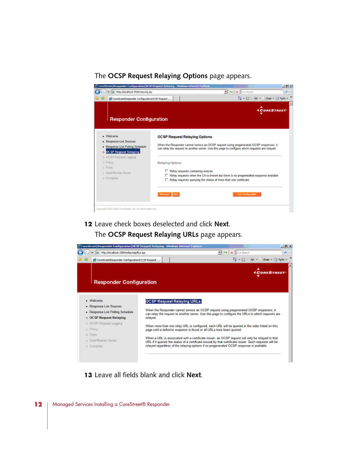#### The **OCSP Request Relaying Options** page appears.



**12** Leave check boxes deselected and click **Next**. The **OCSP Request Relaying URLs** page appears.



**13** Leave all fields blank and click **Next**.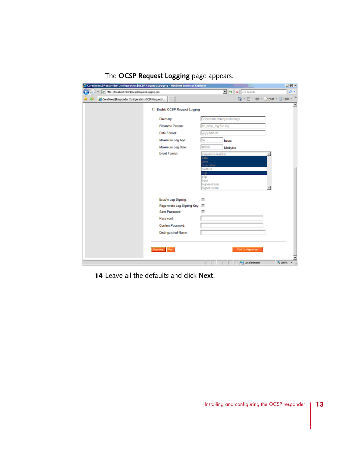| C CoreStreet   Responder Configuration   OCSP Request Logging - Windows Internet Explorer |                                    |                                                                                                                  |                                                                              | ■例図                                                                                  |
|-------------------------------------------------------------------------------------------|------------------------------------|------------------------------------------------------------------------------------------------------------------|------------------------------------------------------------------------------|--------------------------------------------------------------------------------------|
| C Mtp://localhost:3504/ocspkequestLogging.jsp                                             |                                    |                                                                                                                  | $\mathbf{v}$ $\mathbf{v}$ $\mathbf{v}$ $\mathbf{x}$ $\mathbf{v}$ live Search | ا - هر                                                                               |
| CoreStreet Responder/Configuration OCSP Request L<br>42                                   |                                    |                                                                                                                  |                                                                              | $\Omega$ - $\square$ - $\square$ - $\square$ - $\square$ Bogo - $\square$ Took - $"$ |
|                                                                                           | Enable OCSP Request Logging        |                                                                                                                  |                                                                              | 츼                                                                                    |
| Directory:                                                                                |                                    | C:\corestreet\responder\logs                                                                                     |                                                                              |                                                                                      |
|                                                                                           | Filename Pattern:                  | rtc_ocsp_log.%d.log                                                                                              |                                                                              |                                                                                      |
|                                                                                           | Date Format:                       | www-MM-dd                                                                                                        |                                                                              |                                                                                      |
|                                                                                           | Maximum Log Age:                   | 24                                                                                                               | hours                                                                        |                                                                                      |
|                                                                                           | Maximum Log Size:                  | 10000                                                                                                            | kilobytes                                                                    |                                                                                      |
|                                                                                           | <b>Event Format:</b>               | sequence-number<br>date<br>ime<br>madat-emb<br>method<br>t-ip.<br>s-ip<br>host<br>signer-issuer<br>signer-serial |                                                                              |                                                                                      |
|                                                                                           | Enable Log Signing:                | п                                                                                                                |                                                                              |                                                                                      |
|                                                                                           | Regenerate Log Signing Key: III    |                                                                                                                  |                                                                              |                                                                                      |
|                                                                                           | Save Password:<br><b>Password:</b> | п                                                                                                                |                                                                              |                                                                                      |
|                                                                                           | Confirm Password:                  |                                                                                                                  |                                                                              |                                                                                      |
|                                                                                           | Distinguished Name:                |                                                                                                                  |                                                                              |                                                                                      |
|                                                                                           |                                    |                                                                                                                  |                                                                              |                                                                                      |
| Previous Next                                                                             |                                    |                                                                                                                  | <b>Out Configuration</b>                                                     |                                                                                      |
|                                                                                           |                                    |                                                                                                                  | V. J Local Intranet                                                          | <sup>4</sup> , 100%                                                                  |

#### The **OCSP Request Logging** page appears.

**14** Leave all the defaults and click **Next**.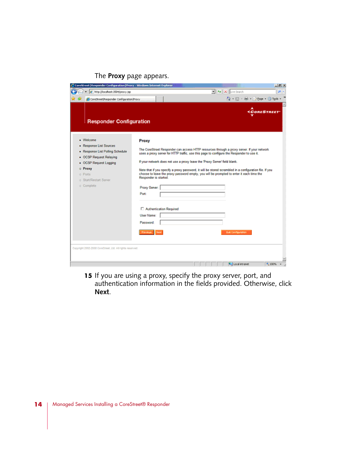#### The **Proxy** page appears.

| - 4 X Die Search<br>B http://locahostr3504/prony.jsp<br>☆ 回 曲 - Bege - ③ Took<br>CoreStreet Responder Configuration Proxy<br><b><corestreet< b=""><br/><b>Responder Configuration</b><br/>· Welcome<br/>Proxy<br/>· Response List Sources<br/>The CoreStreet Responder can access HTTP resources through a proxy server. If your network<br/>· Response List Polling Schedule<br/>uses a proxy server for HTTP trafic, use this page to configure the Responder to use it.<br/>• OCSP Request Relaying<br/>If your network does not use a proxy leave the 'Proxy Server' field blank.<br/>• OCSP Request Logging<br/>o Proxy<br/>Note that if you specify a proxy password, it will be stored scrambled in a configuration file. If you<br/>choose to leave the proxy password empty, you will be prompted to enter it each time the<br/>c Ports<br/>Responder is started.<br/>c Start/Restart Server<br/>o Complete<br/>Proxy Server:<br/>Port:<br/>□ Authentication Required<br/>User Name:<br/>Password:<br/>Previous Next<br/><b>Quil Configuration</b><br/>Copyright 2002-2008 CoreStreet, Ltd. All rights reserved.</corestreet<></b> | C CoreStreet   Responder Configuration   Proxy - Vindows Internet Explorer |  | $-18$ X |
|---------------------------------------------------------------------------------------------------------------------------------------------------------------------------------------------------------------------------------------------------------------------------------------------------------------------------------------------------------------------------------------------------------------------------------------------------------------------------------------------------------------------------------------------------------------------------------------------------------------------------------------------------------------------------------------------------------------------------------------------------------------------------------------------------------------------------------------------------------------------------------------------------------------------------------------------------------------------------------------------------------------------------------------------------------------------------------------------------------------------------------------------|----------------------------------------------------------------------------|--|---------|
|                                                                                                                                                                                                                                                                                                                                                                                                                                                                                                                                                                                                                                                                                                                                                                                                                                                                                                                                                                                                                                                                                                                                             |                                                                            |  | . م     |
|                                                                                                                                                                                                                                                                                                                                                                                                                                                                                                                                                                                                                                                                                                                                                                                                                                                                                                                                                                                                                                                                                                                                             |                                                                            |  |         |
|                                                                                                                                                                                                                                                                                                                                                                                                                                                                                                                                                                                                                                                                                                                                                                                                                                                                                                                                                                                                                                                                                                                                             |                                                                            |  |         |
|                                                                                                                                                                                                                                                                                                                                                                                                                                                                                                                                                                                                                                                                                                                                                                                                                                                                                                                                                                                                                                                                                                                                             |                                                                            |  |         |
| Uccal intranet<br>+ 100%                                                                                                                                                                                                                                                                                                                                                                                                                                                                                                                                                                                                                                                                                                                                                                                                                                                                                                                                                                                                                                                                                                                    |                                                                            |  |         |

15 If you are using a proxy, specify the proxy server, port, and authentication information in the fields provided. Otherwise, click **Next**.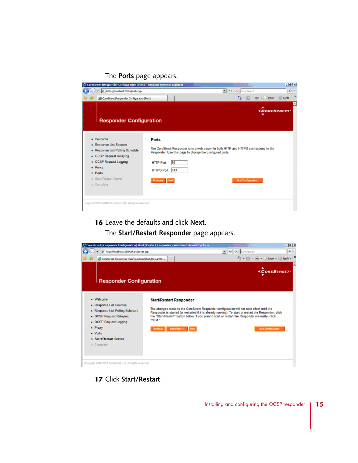#### The **Ports** page appears.

| $\bullet$ $\bullet$ X Live Search<br>e http://locahost.3504/ports.jsp<br><sup>4</sup> • 回 • 丽 • 2 Bope • ◎ Tgols • <sup>™</sup><br>CoreStreetIResponder ConfigurationIPorts<br><b>Responder Configuration</b><br>· Welcome<br>Ports<br>- Response List Sources<br>The CoreStreet Responder runs a web server for both HTTP and HTTPS connections to the<br>· Response List Poling Schedule<br>Responder. Use this page to change the configured ports.<br>• OCSP Request Relaying<br>• OCSP Request Logging<br>80<br><b>HTTP Port:</b><br>· Proxy<br>HTTPS Port: 443 | - ه               |
|----------------------------------------------------------------------------------------------------------------------------------------------------------------------------------------------------------------------------------------------------------------------------------------------------------------------------------------------------------------------------------------------------------------------------------------------------------------------------------------------------------------------------------------------------------------------|-------------------|
|                                                                                                                                                                                                                                                                                                                                                                                                                                                                                                                                                                      |                   |
|                                                                                                                                                                                                                                                                                                                                                                                                                                                                                                                                                                      |                   |
|                                                                                                                                                                                                                                                                                                                                                                                                                                                                                                                                                                      | <b>CORESTREET</b> |
|                                                                                                                                                                                                                                                                                                                                                                                                                                                                                                                                                                      |                   |
|                                                                                                                                                                                                                                                                                                                                                                                                                                                                                                                                                                      |                   |
|                                                                                                                                                                                                                                                                                                                                                                                                                                                                                                                                                                      |                   |
| o Ports                                                                                                                                                                                                                                                                                                                                                                                                                                                                                                                                                              |                   |
| o Start/Restart Server<br>Previous Next<br><b>Quit Configuration</b><br>o Complete                                                                                                                                                                                                                                                                                                                                                                                                                                                                                   |                   |
|                                                                                                                                                                                                                                                                                                                                                                                                                                                                                                                                                                      |                   |
| Copyright 2002-2008 CoreStreet, Ltd. All rights reserved.                                                                                                                                                                                                                                                                                                                                                                                                                                                                                                            |                   |

**16** Leave the defaults and click **Next**.

The **Start/Restart Responder** page appears.



**17** Click **Start/Restart**.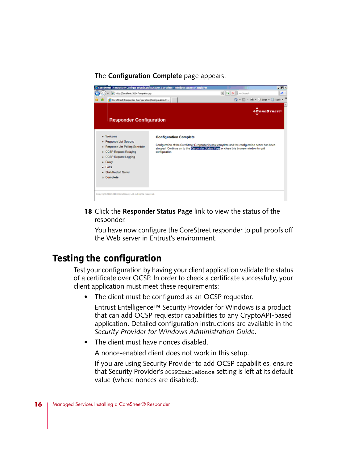#### The **Configuration Complete** page appears.



**18** Click the **Responder Status Page** link to view the status of the responder.

You have now configure the CoreStreet responder to pull proofs off the Web server in Entrust's environment.

### **Testing the configuration**

Test your configuration by having your client application validate the status of a certificate over OCSP. In order to check a certificate successfully, your client application must meet these requirements:

• The client must be configured as an OCSP requestor.

Entrust Entelligence™ Security Provider for Windows is a product that can add OCSP requestor capabilities to any CryptoAPI-based application. Detailed configuration instructions are available in the *Security Provider for Windows Administration Guide*.

• The client must have nonces disabled.

A nonce-enabled client does not work in this setup.

If you are using Security Provider to add OCSP capabilities, ensure that Security Provider's OCSPEnableNonce setting is left at its default value (where nonces are disabled).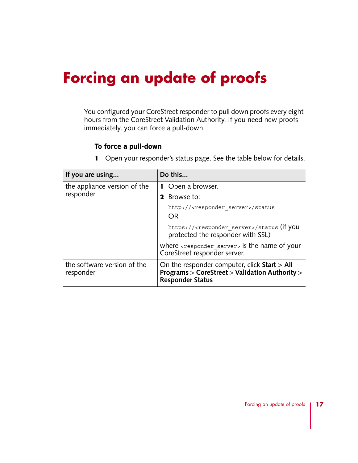# **Forcing an update of proofs**

You configured your CoreStreet responder to pull down proofs every eight hours from the CoreStreet Validation Authority. If you need new proofs immediately, you can force a pull-down.

#### **To force a pull-down**

**1** Open your responder's status page. See the table below for details.

| If you are using                         | Do this                                                                                                                   |  |
|------------------------------------------|---------------------------------------------------------------------------------------------------------------------------|--|
| the appliance version of the             | <b>1</b> Open a browser.                                                                                                  |  |
| responder                                | <b>2</b> Browse to:                                                                                                       |  |
|                                          | http:// <responder server="">/status<br/>OR</responder>                                                                   |  |
|                                          | https:// <responder server="">/status (if you<br/>protected the responder with SSL)</responder>                           |  |
|                                          | where $\epsilon$ responder servers is the name of your<br>CoreStreet responder server.                                    |  |
| the software version of the<br>responder | On the responder computer, click Start > All<br>Programs > CoreStreet > Validation Authority ><br><b>Responder Status</b> |  |